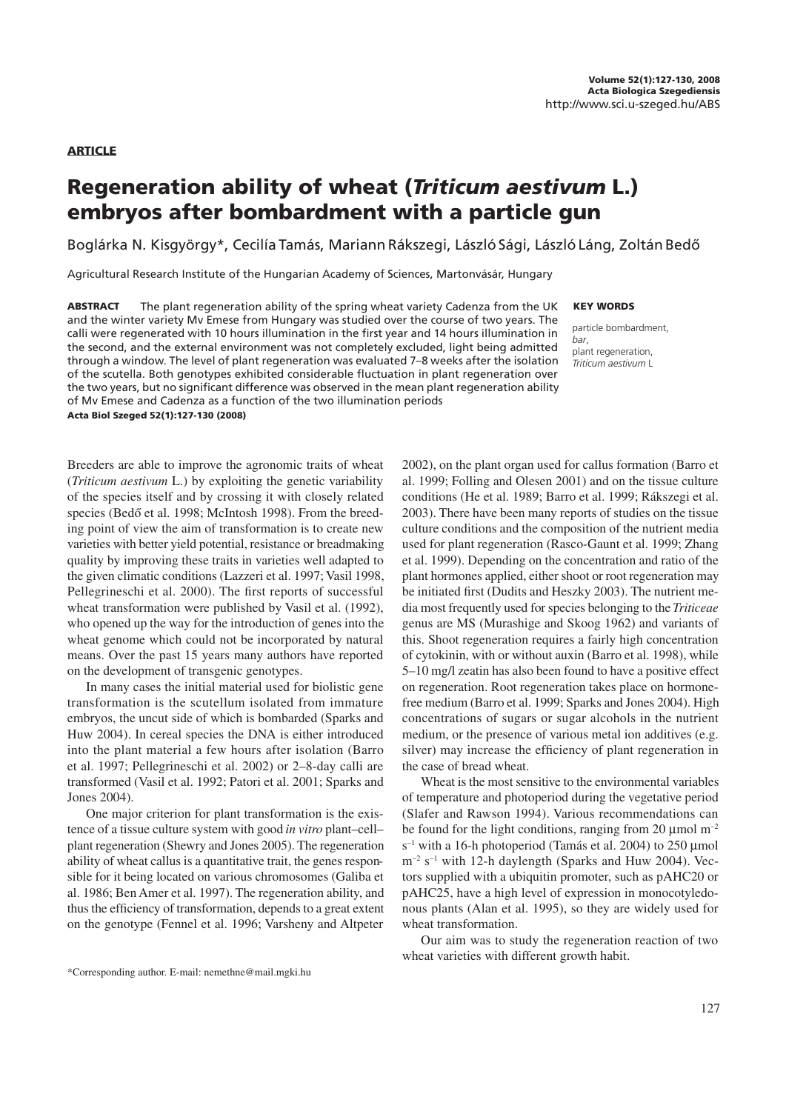**ARTICLE** 

# Regeneration ability of wheat (Triticum aestivum L.) embryos after bombardment with a particle gun

Boglárka N. Kisgyörgy\*, Cecilía Tamás, Mariann Rákszegi, László Sági, László Láng, Zoltán Bedô

Agricultural Research Institute of the Hungarian Academy of Sciences, Martonvásár, Hungary

ABSTRACT The plant regeneration ability of the spring wheat variety Cadenza from the UK and the winter variety Mv Emese from Hungary was studied over the course of two years. The calli were regenerated with 10 hours illumination in the first year and 14 hours illumination in the second, and the external environment was not completely excluded, light being admitted through a window. The level of plant regeneration was evaluated 7–8 weeks after the isolation of the scutella. Both genotypes exhibited considerable fluctuation in plant regeneration over the two years, but no significant difference was observed in the mean plant regeneration ability of Mv Emese and Cadenza as a function of the two illumination periods Acta Biol Szeged 52(1):127-130 (2008)

Breeders are able to improve the agronomic traits of wheat (*Triticum aestivum* L.) by exploiting the genetic variability of the species itself and by crossing it with closely related species (Bedő et al. 1998; McIntosh 1998). From the breeding point of view the aim of transformation is to create new varieties with better yield potential, resistance or breadmaking quality by improving these traits in varieties well adapted to the given climatic conditions (Lazzeri et al. 1997; Vasil 1998, Pellegrineschi et al. 2000). The first reports of successful wheat transformation were published by Vasil et al. (1992), who opened up the way for the introduction of genes into the wheat genome which could not be incorporated by natural means. Over the past 15 years many authors have reported on the development of transgenic genotypes.

In many cases the initial material used for biolistic gene transformation is the scutellum isolated from immature embryos, the uncut side of which is bombarded (Sparks and Huw 2004). In cereal species the DNA is either introduced into the plant material a few hours after isolation (Barro et al. 1997; Pellegrineschi et al. 2002) or 2–8-day calli are transformed (Vasil et al. 1992; Patori et al. 2001; Sparks and Jones 2004).

One major criterion for plant transformation is the existence of a tissue culture system with good *in vitro* plant–cell– plant regeneration (Shewry and Jones 2005). The regeneration ability of wheat callus is a quantitative trait, the genes responsible for it being located on various chromosomes (Galiba et al. 1986; Ben Amer et al. 1997). The regeneration ability, and thus the efficiency of transformation, depends to a great extent on the genotype (Fennel et al. 1996; Varsheny and Altpeter KEY WORDS

particle bombardment, bar, plant regeneration, Triticum aestivum L

2002), on the plant organ used for callus formation (Barro et al. 1999; Folling and Olesen 2001) and on the tissue culture conditions (He et al. 1989; Barro et al. 1999; Rákszegi et al. 2003). There have been many reports of studies on the tissue culture conditions and the composition of the nutrient media used for plant regeneration (Rasco-Gaunt et al. 1999; Zhang et al. 1999). Depending on the concentration and ratio of the plant hormones applied, either shoot or root regeneration may be initiated first (Dudits and Heszky 2003). The nutrient media most frequently used for species belonging to the *Triticeae* genus are MS (Murashige and Skoog 1962) and variants of this. Shoot regeneration requires a fairly high concentration of cytokinin, with or without auxin (Barro et al. 1998), while 5–10 mg/l zeatin has also been found to have a positive effect on regeneration. Root regeneration takes place on hormonefree medium (Barro et al. 1999; Sparks and Jones 2004). High concentrations of sugars or sugar alcohols in the nutrient medium, or the presence of various metal ion additives (e.g. silver) may increase the efficiency of plant regeneration in the case of bread wheat.

Wheat is the most sensitive to the environmental variables of temperature and photoperiod during the vegetative period (Slafer and Rawson 1994). Various recommendations can be found for the light conditions, ranging from 20  $\mu$ mol m<sup>-2</sup>  $s^{-1}$  with a 16-h photoperiod (Tamás et al. 2004) to 250 µmol  $m<sup>-2</sup>$  s<sup>-1</sup> with 12-h daylength (Sparks and Huw 2004). Vectors supplied with a ubiquitin promoter, such as pAHC20 or pAHC25, have a high level of expression in monocotyledonous plants (Alan et al. 1995), so they are widely used for wheat transformation.

Our aim was to study the regeneration reaction of two wheat varieties with different growth habit.

<sup>\*</sup>Corresponding author. E-mail: nemethne@mail.mgki.hu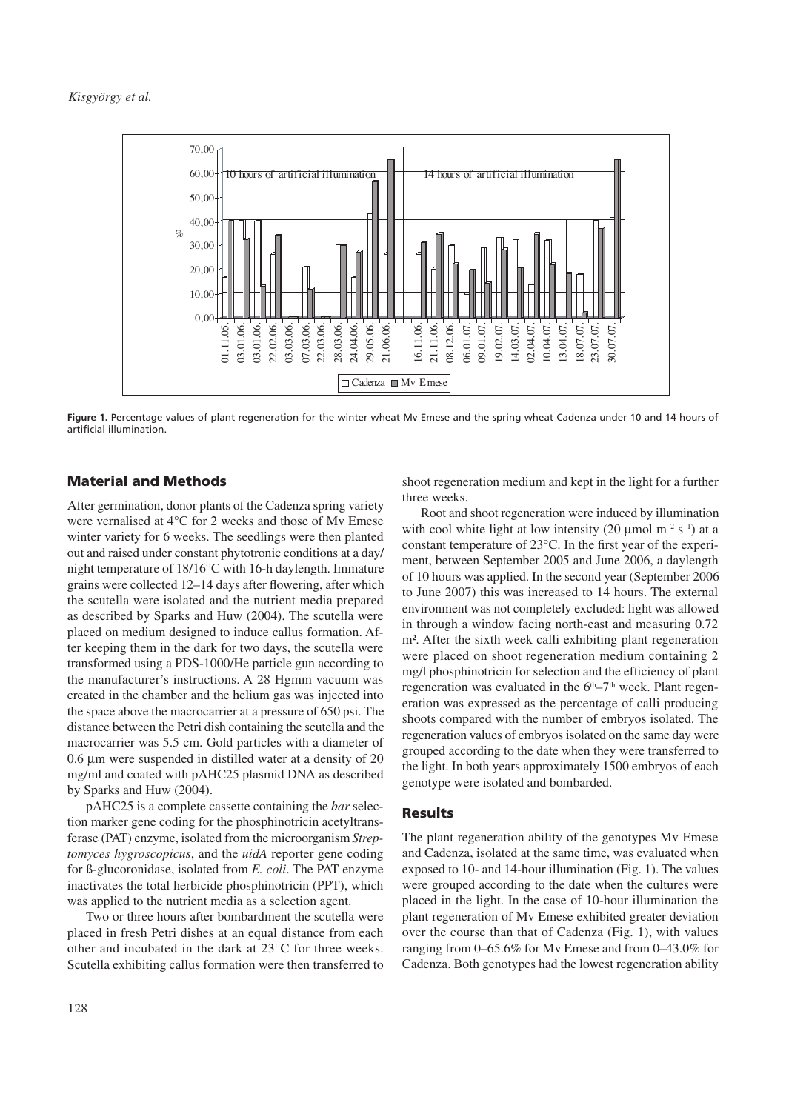

**Figure 1.** Percentage values of plant regeneration for the winter wheat Mv Emese and the spring wheat Cadenza under 10 and 14 hours of artificial illumination.

## Material and Methods

After germination, donor plants of the Cadenza spring variety were vernalised at 4<sup>°</sup>C for 2 weeks and those of Mv Emese winter variety for 6 weeks. The seedlings were then planted out and raised under constant phytotronic conditions at a day/ night temperature of  $18/16^{\circ}$ C with 16-h daylength. Immature grains were collected 12–14 days after flowering, after which the scutella were isolated and the nutrient media prepared as described by Sparks and Huw (2004). The scutella were placed on medium designed to induce callus formation. After keeping them in the dark for two days, the scutella were transformed using a PDS-1000/He particle gun according to the manufacturer's instructions. A 28 Hgmm vacuum was created in the chamber and the helium gas was injected into the space above the macrocarrier at a pressure of 650 psi. The distance between the Petri dish containing the scutella and the macrocarrier was 5.5 cm. Gold particles with a diameter of  $0.6 \mu m$  were suspended in distilled water at a density of 20 mg/ml and coated with pAHC25 plasmid DNA as described by Sparks and Huw (2004).

pAHC25 is a complete cassette containing the *bar* selection marker gene coding for the phosphinotricin acetyltransferase (PAT) enzyme, isolated from the microorganism *Streptomyces hygroscopicus*, and the *uidA* reporter gene coding for §-glucoronidase, isolated from *E. coli*. The PAT enzyme inactivates the total herbicide phosphinotricin (PPT), which was applied to the nutrient media as a selection agent.

Two or three hours after bombardment the scutella were placed in fresh Petri dishes at an equal distance from each other and incubated in the dark at  $23^{\circ}$ C for three weeks. Scutella exhibiting callus formation were then transferred to shoot regeneration medium and kept in the light for a further three weeks.

Root and shoot regeneration were induced by illumination with cool white light at low intensity (20  $\mu$ mol m<sup>-2</sup> s<sup>-1</sup>) at a constant temperature of  $23^{\circ}$ C. In the first year of the experiment, between September 2005 and June 2006, a daylength of 10 hours was applied. In the second year (September 2006 to June 2007) this was increased to 14 hours. The external environment was not completely excluded: light was allowed in through a window facing north-east and measuring 0.72 m<sup>2</sup>. After the sixth week calli exhibiting plant regeneration were placed on shoot regeneration medium containing 2 mg/l phosphinotricin for selection and the efficiency of plant regeneration was evaluated in the  $6<sup>th</sup>-7<sup>th</sup>$  week. Plant regeneration was expressed as the percentage of calli producing shoots compared with the number of embryos isolated. The regeneration values of embryos isolated on the same day were grouped according to the date when they were transferred to the light. In both years approximately 1500 embryos of each genotype were isolated and bombarded.

## Results

The plant regeneration ability of the genotypes Mv Emese and Cadenza, isolated at the same time, was evaluated when exposed to 10- and 14-hour illumination (Fig. 1). The values were grouped according to the date when the cultures were placed in the light. In the case of 10-hour illumination the plant regeneration of Mv Emese exhibited greater deviation over the course than that of Cadenza (Fig. 1), with values ranging from  $0-65.6\%$  for My Emese and from  $0-43.0\%$  for Cadenza. Both genotypes had the lowest regeneration ability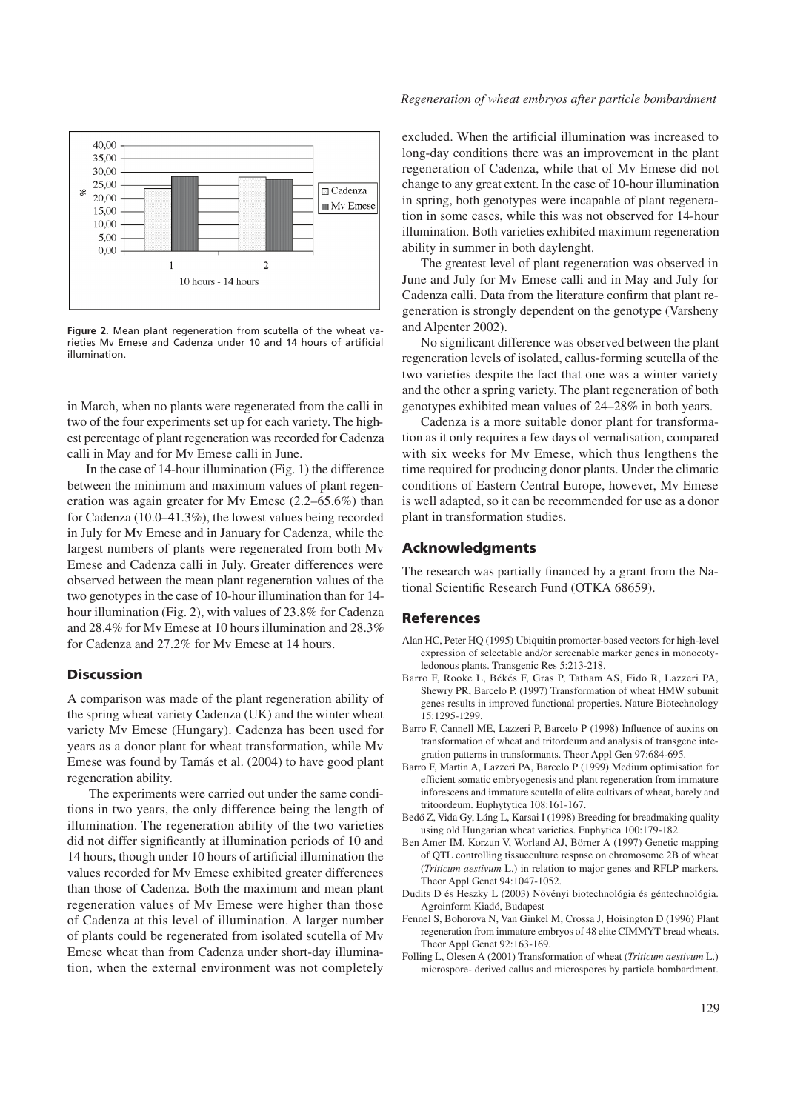

**Figure 2.** Mean plant regeneration from scutella of the wheat varieties Mv Emese and Cadenza under 10 and 14 hours of artificial illumination.

in March, when no plants were regenerated from the calli in two of the four experiments set up for each variety. The highest percentage of plant regeneration was recorded for Cadenza calli in May and for Mv Emese calli in June.

In the case of 14-hour illumination (Fig. 1) the difference between the minimum and maximum values of plant regeneration was again greater for Mv Emese  $(2.2–65.6%)$  than for Cadenza  $(10.0–41.3%)$ , the lowest values being recorded in July for Mv Emese and in January for Cadenza, while the largest numbers of plants were regenerated from both Mv Emese and Cadenza calli in July. Greater differences were observed between the mean plant regeneration values of the two genotypes in the case of 10-hour illumination than for 14 hour illumination (Fig. 2), with values of 23.8% for Cadenza and 28.4% for Mv Emese at 10 hours illumination and 28.3% for Cadenza and 27.2% for Mv Emese at 14 hours.

## **Discussion**

A comparison was made of the plant regeneration ability of the spring wheat variety Cadenza (UK) and the winter wheat variety Mv Emese (Hungary). Cadenza has been used for years as a donor plant for wheat transformation, while Mv Emese was found by Tamás et al. (2004) to have good plant regeneration ability.

 The experiments were carried out under the same conditions in two years, the only difference being the length of illumination. The regeneration ability of the two varieties did not differ significantly at illumination periods of 10 and 14 hours, though under 10 hours of artificial illumination the values recorded for Mv Emese exhibited greater differences than those of Cadenza. Both the maximum and mean plant regeneration values of Mv Emese were higher than those of Cadenza at this level of illumination. A larger number of plants could be regenerated from isolated scutella of Mv Emese wheat than from Cadenza under short-day illumination, when the external environment was not completely

#### *Regeneration of wheat embryos after particle bombardment*

excluded. When the artificial illumination was increased to long-day conditions there was an improvement in the plant regeneration of Cadenza, while that of Mv Emese did not change to any great extent. In the case of 10-hour illumination in spring, both genotypes were incapable of plant regeneration in some cases, while this was not observed for 14-hour illumination. Both varieties exhibited maximum regeneration ability in summer in both daylenght.

The greatest level of plant regeneration was observed in June and July for Mv Emese calli and in May and July for Cadenza calli. Data from the literature confirm that plant regeneration is strongly dependent on the genotype (Varsheny and Alpenter 2002).

No significant difference was observed between the plant regeneration levels of isolated, callus-forming scutella of the two varieties despite the fact that one was a winter variety and the other a spring variety. The plant regeneration of both genotypes exhibited mean values of 24–28% in both years.

Cadenza is a more suitable donor plant for transformation as it only requires a few days of vernalisation, compared with six weeks for Mv Emese, which thus lengthens the time required for producing donor plants. Under the climatic conditions of Eastern Central Europe, however, Mv Emese is well adapted, so it can be recommended for use as a donor plant in transformation studies.

## Acknowledgments

The research was partially financed by a grant from the National Scientific Research Fund (OTKA 68659).

### **References**

- Alan HC, Peter HQ (1995) Ubiquitin promorter-based vectors for high-level expression of selectable and/or screenable marker genes in monocotyledonous plants. Transgenic Res 5:213-218.
- Barro F, Rooke L, Békés F, Gras P, Tatham AS, Fido R, Lazzeri PA, Shewry PR, Barcelo P, (1997) Transformation of wheat HMW subunit genes results in improved functional properties. Nature Biotechnology 15:1295-1299.
- Barro F, Cannell ME, Lazzeri P, Barcelo P (1998) Inßuence of auxins on transformation of wheat and tritordeum and analysis of transgene integration patterns in transformants. Theor Appl Gen 97:684-695.
- Barro F, Martin A, Lazzeri PA, Barcelo P (1999) Medium optimisation for efficient somatic embryogenesis and plant regeneration from immature inforescens and immature scutella of elite cultivars of wheat, barely and tritoordeum. Euphytytica 108:161-167.
- Bedő Z, Vida Gy, Láng L, Karsai I (1998) Breeding for breadmaking quality using old Hungarian wheat varieties. Euphytica 100:179-182.
- Ben Amer IM, Korzun V, Worland AJ, Börner A (1997) Genetic mapping of QTL controlling tissueculture respnse on chromosome 2B of wheat (*Triticum aestivum* L.) in relation to major genes and RFLP markers. Theor Appl Genet 94:1047-1052.
- Dudits D és Heszky L (2003) Növényi biotechnológia és géntechnológia. Agroinform Kiadó, Budapest
- Fennel S, Bohorova N, Van Ginkel M, Crossa J, Hoisington D (1996) Plant regeneration from immature embryos of 48 elite CIMMYT bread wheats. Theor Appl Genet 92:163-169.
- Folling L, Olesen A (2001) Transformation of wheat (*Triticum aestivum* L.) microspore- derived callus and microspores by particle bombardment.